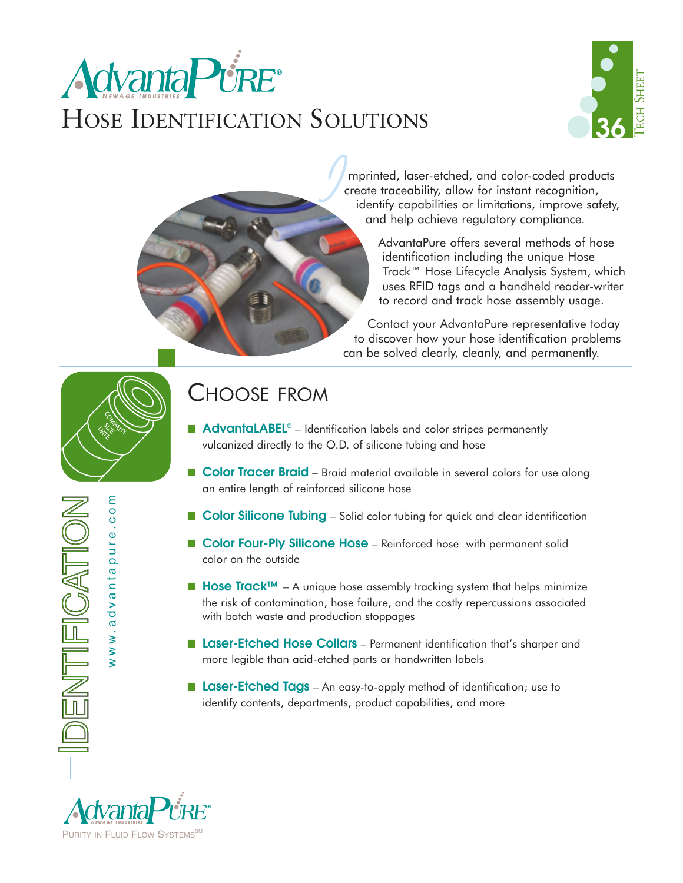# **Advanta Pure** HOSE IDENTIFICATION SOLUTIONS



mprinted, laser-etched, and color-coded products create traceability, allow for instant recognition, identify capabilities or limitations, improve safety, and help achieve regulatory compliance.

> AdvantaPure offers several methods of hose identification including the unique Hose Track™ Hose Lifecycle Analysis System, which uses RFID tags and a handheld reader-writer to record and track hose assembly usage.

Contact your AdvantaPure representative today to discover how your hose identification problems can be solved clearly, cleanly, and permanently.



www.advantapure.com

www.advantapure.com

ENTIFICATION

### CHOOSE FROM

■ **AdvantaLABEL<sup>®</sup>** – Identification labels and color stripes permanently vulcanized directly to the O.D. of silicone tubing and hose

*I*

- **Color Tracer Braid** Braid material available in several colors for use along an entire length of reinforced silicone hose
- **Color Silicone Tubing** Solid color tubing for quick and clear identification
- **Color Four-Ply Silicone Hose** Reinforced hose with permanent solid color on the outside
- Hose Track<sup>™</sup> A unique hose assembly tracking system that helps minimize the risk of contamination, hose failure, and the costly repercussions associated with batch waste and production stoppages
- **Laser-Etched Hose Collars** Permanent identification that's sharper and more legible than acid-etched parts or handwritten labels
- **Laser-Etched Tags** An easy-to-apply method of identification; use to identify contents, departments, product capabilities, and more

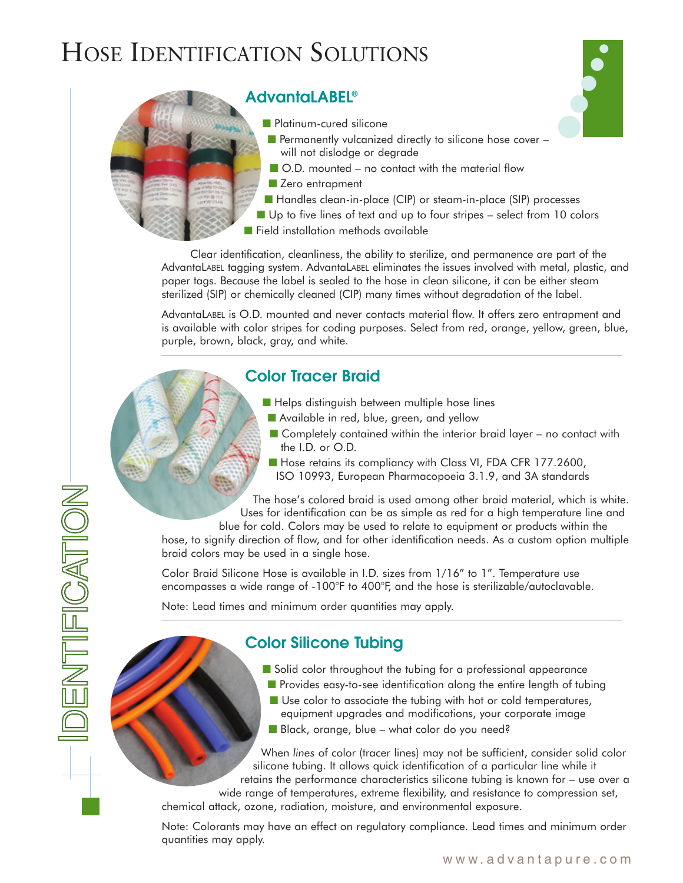## HOSE IDENTIFICATION SOLUTIONS



- Handles clean-in-place (CIP) or steam-in-place (SIP) processes
- Up to five lines of text and up to four stripes select from 10 colors

●

● ● ●

■ Field installation methods available

Clear identification, cleanliness, the ability to sterilize, and permanence are part of the AdvantaLABEL tagging system. AdvantaLABEL eliminates the issues involved with metal, plastic, and paper tags. Because the label is sealed to the hose in clean silicone, it can be either steam sterilized (SIP) or chemically cleaned (CIP) many times without degradation of the label.

AdvantaLABEL is O.D. mounted and never contacts material flow. It offers zero entrapment and is available with color stripes for coding purposes. Select from red, orange, yellow, green, blue, purple, brown, black, gray, and white.

### **Color Tracer Braid**

- Helps distinguish between multiple hose lines
- Available in red, blue, green, and yellow
- $\blacksquare$  Completely contained within the interior braid layer no contact with the I.D. or O.D.
- Hose retains its compliancy with Class VI, FDA CFR 177.2600, ISO 10993, European Pharmacopoeia 3.1.9, and 3A standards

The hose's colored braid is used among other braid material, which is white. Uses for identification can be as simple as red for a high temperature line and

blue for cold. Colors may be used to relate to equipment or products within the hose, to signify direction of flow, and for other identification needs. As a custom option multiple braid colors may be used in a single hose.

Color Braid Silicone Hose is available in I.D. sizes from 1/16" to 1". Temperature use encompasses a wide range of -100°F to 400°F, and the hose is sterilizable/autoclavable.

Note: Lead times and minimum order quantities may apply.

### **Color Silicone Tubing**

- Solid color throughout the tubing for a professional appearance
- Provides easy-to-see identification along the entire length of tubing
- Use color to associate the tubing with hot or cold temperatures, equipment upgrades and modifications, your corporate image
- Black, orange, blue what color do you need?

When *lines* of color (tracer lines) may not be sufficient, consider solid color silicone tubing. It allows quick identification of a particular line while it retains the performance characteristics silicone tubing is known for – use over a

wide range of temperatures, extreme flexibility, and resistance to compression set, chemical attack, ozone, radiation, moisture, and environmental exposure.

Note: Colorants may have an effect on regulatory compliance. Lead times and minimum order quantities may apply.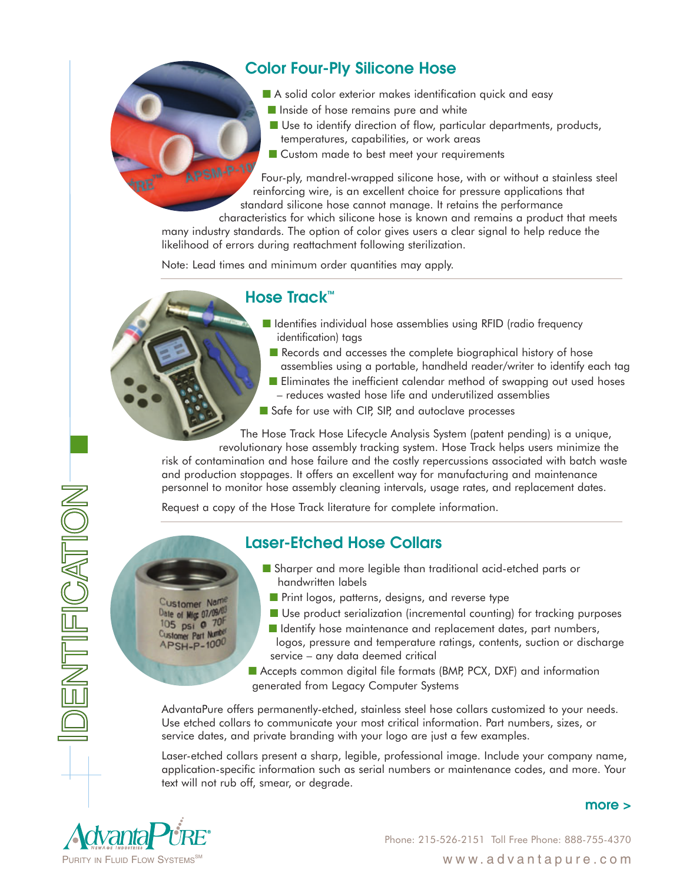### **Color Four-Ply Silicone Hose**

- A solid color exterior makes identification quick and easy
- Inside of hose remains pure and white
- Use to identify direction of flow, particular departments, products, temperatures, capabilities, or work areas
- Custom made to best meet your requirements

APSM-P-10 Four-ply, mandrel-wrapped silicone hose, with or without a stainless steel reinforcing wire, is an excellent choice for pressure applications that standard silicone hose cannot manage. It retains the performance

characteristics for which silicone hose is known and remains a product that meets many industry standards. The option of color gives users a clear signal to help reduce the likelihood of errors during reattachment following sterilization.

Note: Lead times and minimum order quantities may apply.

### **Hose Track™**

- Identifies individual hose assemblies using RFID (radio frequency identification) tags
	- Records and accesses the complete biographical history of hose assemblies using a portable, handheld reader/writer to identify each tag
	- Eliminates the inefficient calendar method of swapping out used hoses – reduces wasted hose life and underutilized assemblies
- Safe for use with CIP, SIP, and autoclave processes

The Hose Track Hose Lifecycle Analysis System (patent pending) is a unique, revolutionary hose assembly tracking system. Hose Track helps users minimize the

risk of contamination and hose failure and the costly repercussions associated with batch waste and production stoppages. It offers an excellent way for manufacturing and maintenance personnel to monitor hose assembly cleaning intervals, usage rates, and replacement dates.

Request a copy of the Hose Track literature for complete information.

### **Laser-Etched Hose Collars**

■ Sharper and more legible than traditional acid-etched parts or handwritten labels

Customer Nam Date of Mig 07/09/03 105 psi @ 70F Customer Part Number APSH-P-1000

- Print logos, patterns, designs, and reverse type ■ Use product serialization (incremental counting) for tracking purposes
- Identify hose maintenance and replacement dates, part numbers, logos, pressure and temperature ratings, contents, suction or discharge service – any data deemed critical

■ Accepts common digital file formats (BMP, PCX, DXF) and information generated from Legacy Computer Systems

AdvantaPure offers permanently-etched, stainless steel hose collars customized to your needs. Use etched collars to communicate your most critical information. Part numbers, sizes, or service dates, and private branding with your logo are just a few examples.

Laser-etched collars present a sharp, legible, professional image. Include your company name, application-specific information such as serial numbers or maintenance codes, and more. Your text will not rub off, smear, or degrade.



DENTIFICATION-

Phone: 215-526-2151 Toll Free Phone: 888-755-4370

**more >**

www.advantapure.com